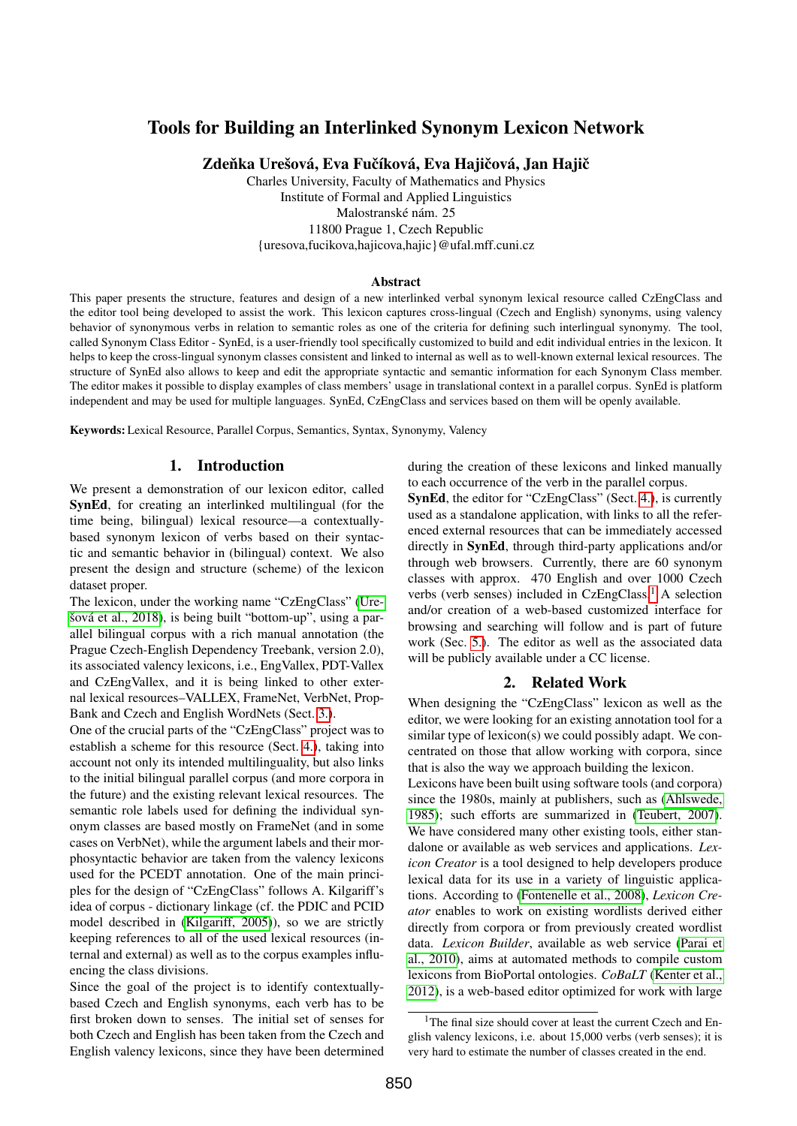# Tools for Building an Interlinked Synonym Lexicon Network

Zdeňka Urešová, Eva Fučíková, Eva Hajičová, Jan Hajič

Charles University, Faculty of Mathematics and Physics Institute of Formal and Applied Linguistics Malostranské nám. 25 11800 Prague 1, Czech Republic {uresova,fucikova,hajicova,hajic}@ufal.mff.cuni.cz

#### Abstract

This paper presents the structure, features and design of a new interlinked verbal synonym lexical resource called CzEngClass and the editor tool being developed to assist the work. This lexicon captures cross-lingual (Czech and English) synonyms, using valency behavior of synonymous verbs in relation to semantic roles as one of the criteria for defining such interlingual synonymy. The tool, called Synonym Class Editor - SynEd, is a user-friendly tool specifically customized to build and edit individual entries in the lexicon. It helps to keep the cross-lingual synonym classes consistent and linked to internal as well as to well-known external lexical resources. The structure of SynEd also allows to keep and edit the appropriate syntactic and semantic information for each Synonym Class member. The editor makes it possible to display examples of class members' usage in translational context in a parallel corpus. SynEd is platform independent and may be used for multiple languages. SynEd, CzEngClass and services based on them will be openly available.

Keywords: Lexical Resource, Parallel Corpus, Semantics, Syntax, Synonymy, Valency

## 1. Introduction

We present a demonstration of our lexicon editor, called SynEd, for creating an interlinked multilingual (for the time being, bilingual) lexical resource—a contextuallybased synonym lexicon of verbs based on their syntactic and semantic behavior in (bilingual) context. We also present the design and structure (scheme) of the lexicon dataset proper.

The lexicon, under the working name "CzEngClass" [\(Ure](#page-6-0)[šová et al., 2018\)](#page-6-0), is being built "bottom-up", using a parallel bilingual corpus with a rich manual annotation (the Prague Czech-English Dependency Treebank, version 2.0), its associated valency lexicons, i.e., EngVallex, PDT-Vallex and CzEngVallex, and it is being linked to other external lexical resources–VALLEX, FrameNet, VerbNet, Prop-Bank and Czech and English WordNets (Sect. [3.\)](#page-1-0).

One of the crucial parts of the "CzEngClass" project was to establish a scheme for this resource (Sect. [4.\)](#page-1-1), taking into account not only its intended multilinguality, but also links to the initial bilingual parallel corpus (and more corpora in the future) and the existing relevant lexical resources. The semantic role labels used for defining the individual synonym classes are based mostly on FrameNet (and in some cases on VerbNet), while the argument labels and their morphosyntactic behavior are taken from the valency lexicons used for the PCEDT annotation. One of the main principles for the design of "CzEngClass" follows A. Kilgariff's idea of corpus - dictionary linkage (cf. the PDIC and PCID model described in [\(Kilgariff, 2005\)](#page-5-0)), so we are strictly keeping references to all of the used lexical resources (internal and external) as well as to the corpus examples influencing the class divisions.

Since the goal of the project is to identify contextuallybased Czech and English synonyms, each verb has to be first broken down to senses. The initial set of senses for both Czech and English has been taken from the Czech and English valency lexicons, since they have been determined during the creation of these lexicons and linked manually to each occurrence of the verb in the parallel corpus.

SynEd, the editor for "CzEngClass" (Sect. [4.\)](#page-3-0), is currently used as a standalone application, with links to all the referenced external resources that can be immediately accessed directly in SynEd, through third-party applications and/or through web browsers. Currently, there are 60 synonym classes with approx. 470 English and over 1000 Czech verbs (verb senses) included in CzEngClass,<sup>[1](#page-0-0)</sup> A selection and/or creation of a web-based customized interface for browsing and searching will follow and is part of future work (Sec. [5.\)](#page-3-1). The editor as well as the associated data will be publicly available under a CC license.

### 2. Related Work

When designing the "CzEngClass" lexicon as well as the editor, we were looking for an existing annotation tool for a similar type of lexicon(s) we could possibly adapt. We concentrated on those that allow working with corpora, since that is also the way we approach building the lexicon.

Lexicons have been built using software tools (and corpora) since the 1980s, mainly at publishers, such as [\(Ahlswede,](#page-5-1) [1985\)](#page-5-1); such efforts are summarized in [\(Teubert, 2007\)](#page-6-1). We have considered many other existing tools, either standalone or available as web services and applications. *Lexicon Creator* is a tool designed to help developers produce lexical data for its use in a variety of linguistic applications. According to [\(Fontenelle et al., 2008\)](#page-5-2), *Lexicon Creator* enables to work on existing wordlists derived either directly from corpora or from previously created wordlist data. *Lexicon Builder*, available as web service [\(Parai et](#page-5-3) [al., 2010\)](#page-5-3), aims at automated methods to compile custom lexicons from BioPortal ontologies. *CoBaLT* [\(Kenter et al.,](#page-5-4) [2012\)](#page-5-4), is a web-based editor optimized for work with large

<span id="page-0-0"></span><sup>&</sup>lt;sup>1</sup>The final size should cover at least the current Czech and English valency lexicons, i.e. about 15,000 verbs (verb senses); it is very hard to estimate the number of classes created in the end.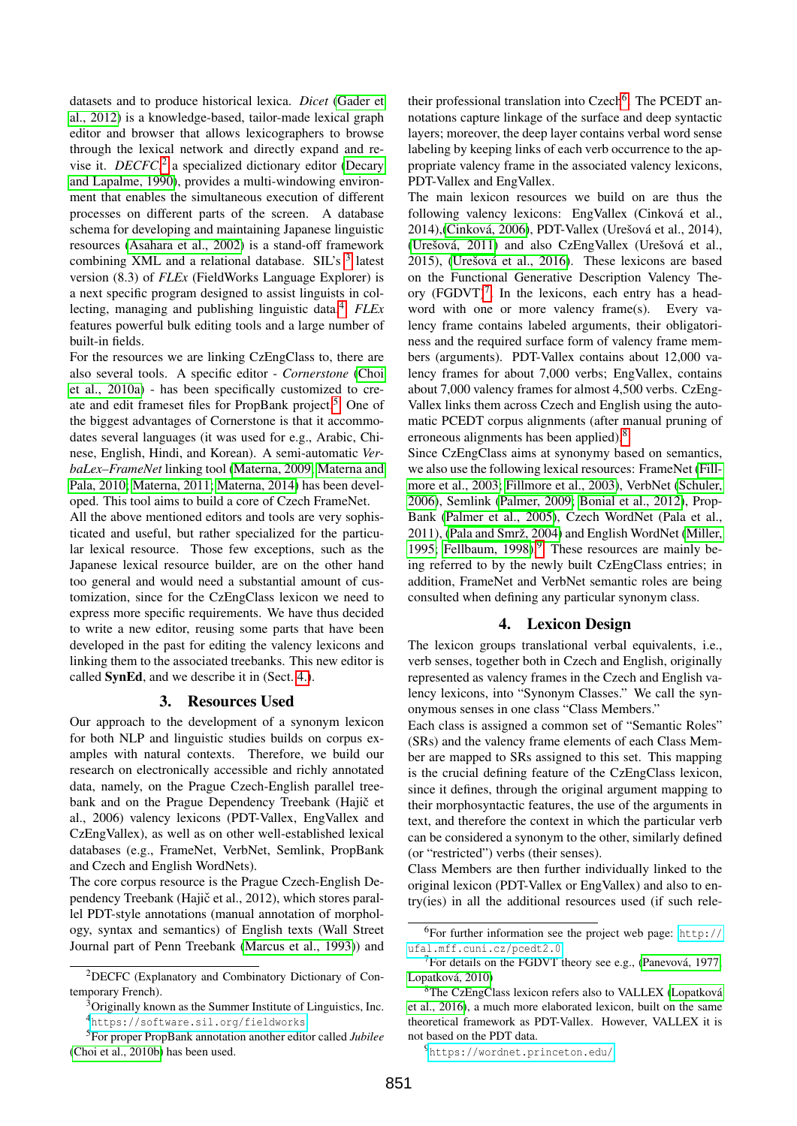datasets and to produce historical lexica. *Dicet* [\(Gader et](#page-5-5) [al., 2012\)](#page-5-5) is a knowledge-based, tailor-made lexical graph editor and browser that allows lexicographers to browse through the lexical network and directly expand and revise it. *DECFC*<sup>[2](#page-1-2)</sup> a specialized dictionary editor [\(Decary](#page-5-6) [and Lapalme, 1990\)](#page-5-6), provides a multi-windowing environment that enables the simultaneous execution of different processes on different parts of the screen. A database schema for developing and maintaining Japanese linguistic resources [\(Asahara et al., 2002\)](#page-5-7) is a stand-off framework combining XML and a relational database. SIL's <sup>[3](#page-1-3)</sup> latest version (8.3) of *FLEx* (FieldWorks Language Explorer) is a next specific program designed to assist linguists in collecting, managing and publishing linguistic data.[4](#page-1-4) *FLEx* features powerful bulk editing tools and a large number of built-in fields.

For the resources we are linking CzEngClass to, there are also several tools. A specific editor - *Cornerstone* [\(Choi](#page-5-8) [et al., 2010a\)](#page-5-8) - has been specifically customized to cre-ate and edit frameset files for PropBank project.<sup>[5](#page-1-5)</sup> One of the biggest advantages of Cornerstone is that it accommodates several languages (it was used for e.g., Arabic, Chinese, English, Hindi, and Korean). A semi-automatic *VerbaLex–FrameNet* linking tool [\(Materna, 2009;](#page-5-9) [Materna and](#page-5-10) [Pala, 2010;](#page-5-10) [Materna, 2011;](#page-5-11) [Materna, 2014\)](#page-5-12) has been developed. This tool aims to build a core of Czech FrameNet.

All the above mentioned editors and tools are very sophisticated and useful, but rather specialized for the particular lexical resource. Those few exceptions, such as the Japanese lexical resource builder, are on the other hand too general and would need a substantial amount of customization, since for the CzEngClass lexicon we need to express more specific requirements. We have thus decided to write a new editor, reusing some parts that have been developed in the past for editing the valency lexicons and linking them to the associated treebanks. This new editor is called SynEd, and we describe it in (Sect. [4.\)](#page-3-0).

### 3. Resources Used

<span id="page-1-0"></span>Our approach to the development of a synonym lexicon for both NLP and linguistic studies builds on corpus examples with natural contexts. Therefore, we build our research on electronically accessible and richly annotated data, namely, on the Prague Czech-English parallel treebank and on the Prague Dependency Treebank (Hajič et al., 2006) valency lexicons (PDT-Vallex, EngVallex and CzEngVallex), as well as on other well-established lexical databases (e.g., FrameNet, VerbNet, Semlink, PropBank and Czech and English WordNets).

The core corpus resource is the Prague Czech-English Dependency Treebank (Hajič et al., 2012), which stores parallel PDT-style annotations (manual annotation of morphology, syntax and semantics) of English texts (Wall Street Journal part of Penn Treebank [\(Marcus et al., 1993\)](#page-5-13)) and

their professional translation into Czech<sup>[6](#page-1-6)</sup>. The PCEDT annotations capture linkage of the surface and deep syntactic layers; moreover, the deep layer contains verbal word sense labeling by keeping links of each verb occurrence to the appropriate valency frame in the associated valency lexicons, PDT-Vallex and EngVallex.

The main lexicon resources we build on are thus the following valency lexicons: EngVallex (Cinková et al., 2014),[\(Cinková, 2006\)](#page-5-15), PDT-Vallex (Urešová et al., 2014), [\(Urešová, 2011\)](#page-6-2) and also CzEngVallex (Urešová et al., 2015), [\(Urešová et al., 2016\)](#page-6-3). These lexicons are based on the Functional Generative Description Valency Theory  $(FGDVT)^7$  $(FGDVT)^7$ . In the lexicons, each entry has a headword with one or more valency frame(s). Every valency frame contains labeled arguments, their obligatoriness and the required surface form of valency frame members (arguments). PDT-Vallex contains about 12,000 valency frames for about 7,000 verbs; EngVallex, contains about 7,000 valency frames for almost 4,500 verbs. CzEng-Vallex links them across Czech and English using the automatic PCEDT corpus alignments (after manual pruning of erroneous alignments has been applied).<sup>[8](#page-1-8)</sup>

Since CzEngClass aims at synonymy based on semantics, we also use the following lexical resources: FrameNet [\(Fill](#page-5-16)[more et al., 2003; Fillmore et al., 2003\)](#page-5-16), VerbNet [\(Schuler,](#page-5-17) [2006\)](#page-5-17), Semlink [\(Palmer, 2009;](#page-5-18) [Bonial et al., 2012\)](#page-5-19), Prop-Bank [\(Palmer et al., 2005\)](#page-5-20), Czech WordNet (Pala et al., 2011), [\(Pala and Smrž, 2004\)](#page-5-21) and English WordNet [\(Miller,](#page-5-22) [1995;](#page-5-22) [Fellbaum, 1998\)](#page-5-23). $9$  These resources are mainly being referred to by the newly built CzEngClass entries; in addition, FrameNet and VerbNet semantic roles are being consulted when defining any particular synonym class.

## 4. Lexicon Design

<span id="page-1-1"></span>The lexicon groups translational verbal equivalents, i.e., verb senses, together both in Czech and English, originally represented as valency frames in the Czech and English valency lexicons, into "Synonym Classes." We call the synonymous senses in one class "Class Members."

Each class is assigned a common set of "Semantic Roles" (SRs) and the valency frame elements of each Class Member are mapped to SRs assigned to this set. This mapping is the crucial defining feature of the CzEngClass lexicon, since it defines, through the original argument mapping to their morphosyntactic features, the use of the arguments in text, and therefore the context in which the particular verb can be considered a synonym to the other, similarly defined (or "restricted") verbs (their senses).

Class Members are then further individually linked to the original lexicon (PDT-Vallex or EngVallex) and also to entry(ies) in all the additional resources used (if such rele-

<span id="page-1-2"></span><sup>2</sup>DECFC (Explanatory and Combinatory Dictionary of Contemporary French).

<span id="page-1-4"></span><span id="page-1-3"></span><sup>&</sup>lt;sup>3</sup>Originally known as the Summer Institute of Linguistics, Inc. <sup>4</sup><https://software.sil.org/fieldworks>

<span id="page-1-5"></span><sup>5</sup>For proper PropBank annotation another editor called *Jubilee* [\(Choi et al., 2010b\)](#page-5-14) has been used.

<span id="page-1-6"></span><sup>6</sup>For further information see the project web page: [http://](http://ufal.mff.cuni.cz/pcedt2.0) [ufal.mff.cuni.cz/pcedt2.0](http://ufal.mff.cuni.cz/pcedt2.0).

<span id="page-1-7"></span><sup>&</sup>lt;sup>7</sup>For details on the FGDVT theory see e.g., [\(Panevová, 1977;](#page-5-24) [Lopatková, 2010\)](#page-5-25)

<span id="page-1-8"></span><sup>&</sup>lt;sup>8</sup>The CzEngClass lexicon refers also to VALLEX [\(Lopatková](#page-5-26) [et al., 2016\)](#page-5-26), a much more elaborated lexicon, built on the same theoretical framework as PDT-Vallex. However, VALLEX it is not based on the PDT data.

<span id="page-1-9"></span><sup>9</sup><https://wordnet.princeton.edu/>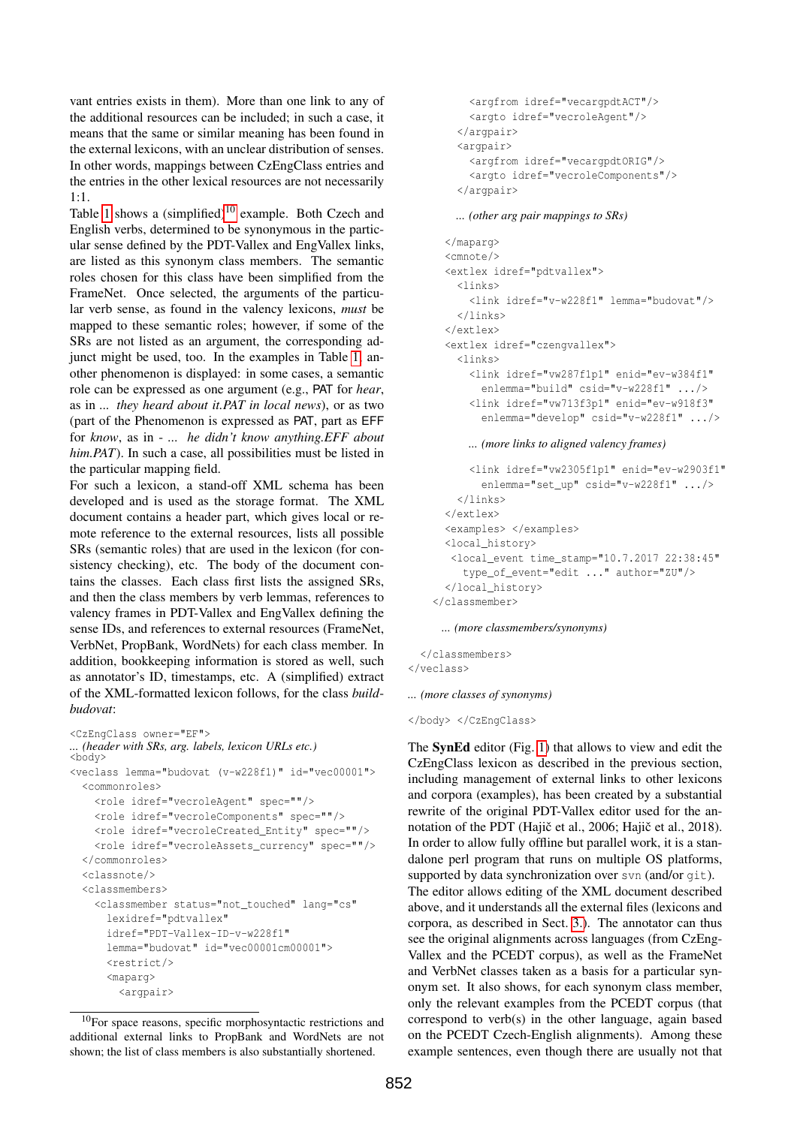vant entries exists in them). More than one link to any of the additional resources can be included; in such a case, it means that the same or similar meaning has been found in the external lexicons, with an unclear distribution of senses. In other words, mappings between CzEngClass entries and the entries in the other lexical resources are not necessarily 1:1.

Table [1](#page-3-2) shows a  $(simplified)^{10}$  $(simplified)^{10}$  $(simplified)^{10}$  example. Both Czech and English verbs, determined to be synonymous in the particular sense defined by the PDT-Vallex and EngVallex links, are listed as this synonym class members. The semantic roles chosen for this class have been simplified from the FrameNet. Once selected, the arguments of the particular verb sense, as found in the valency lexicons, *must* be mapped to these semantic roles; however, if some of the SRs are not listed as an argument, the corresponding adjunct might be used, too. In the examples in Table [1,](#page-3-2) another phenomenon is displayed: in some cases, a semantic role can be expressed as one argument (e.g., PAT for *hear*, as in *... they heard about it.PAT in local news*), or as two (part of the Phenomenon is expressed as PAT, part as EFF for *know*, as in - *... he didn't know anything.EFF about him.PAT*). In such a case, all possibilities must be listed in the particular mapping field.

For such a lexicon, a stand-off XML schema has been developed and is used as the storage format. The XML document contains a header part, which gives local or remote reference to the external resources, lists all possible SRs (semantic roles) that are used in the lexicon (for consistency checking), etc. The body of the document contains the classes. Each class first lists the assigned SRs, and then the class members by verb lemmas, references to valency frames in PDT-Vallex and EngVallex defining the sense IDs, and references to external resources (FrameNet, VerbNet, PropBank, WordNets) for each class member. In addition, bookkeeping information is stored as well, such as annotator's ID, timestamps, etc. A (simplified) extract of the XML-formatted lexicon follows, for the class *buildbudovat*:

```
<CzEngClass owner="EF">
... (header with SRs, arg. labels, lexicon URLs etc.)
<body>
<veclass lemma="budovat (v-w228f1)" id="vec00001">
  <commonroles>
   <role idref="vecroleAgent" spec=""/>
   <role idref="vecroleComponents" spec=""/>
   <role idref="vecroleCreated Entity" spec=""/>
   <role idref="vecroleAssets_currency" spec=""/>
  </commonroles>
  <classnote/>
  <classmembers>
    <classmember status="not_touched" lang="cs"
      lexidref="pdtvallex"
      idref="PDT-Vallex-ID-v-w228f1"
      lemma="budovat" id="vec00001cm00001">
      <restrict/>
      <maparg>
        <argpair>
```
<span id="page-2-0"></span><sup>10</sup>For space reasons, specific morphosyntactic restrictions and additional external links to PropBank and WordNets are not shown; the list of class members is also substantially shortened.

```
<argfrom idref="vecargpdtACT"/>
  <argto idref="vecroleAgent"/>
</argpair>
<argpair>
  <argfrom idref="vecargpdtORIG"/>
  <argto idref="vecroleComponents"/>
</argpair>
```
*... (other arg pair mappings to SRs)*

```
</maparg>
<cmnote/>
<extlex idref="pdtvallex">
  <links>
    <link idref="v-w228f1" lemma="budovat"/>
  </links>
</extlex>
<extlex idref="czengvallex">
  <links>
    <link idref="vw287f1p1" enid="ev-w384f1"
      enlemma="build" csid="v-w228f1" .../>
    <link idref="vw713f3p1" enid="ev-w918f3"
      enlemma="develop" csid="v-w228f1" .../>
```
*... (more links to aligned valency frames)*

```
<link idref="vw2305f1p1" enid="ev-w2903f1"
       enlemma="set_up" csid="v-w228f1" .../>
   </links>
 </extlex>
 <examples> </examples>
 <local_history>
  <local_event time_stamp="10.7.2017 22:38:45"
    type_of_event="edit ..." author="ZU"/>
 </local_history>
</classmember>
```
*... (more classmembers/synonyms)*

</classmembers> </veclass>

*... (more classes of synonyms)*

</body> </CzEngClass>

The SynEd editor (Fig. [1\)](#page-3-0) that allows to view and edit the CzEngClass lexicon as described in the previous section, including management of external links to other lexicons and corpora (examples), has been created by a substantial rewrite of the original PDT-Vallex editor used for the annotation of the PDT (Hajič et al., 2006; Hajič et al., 2018). In order to allow fully offline but parallel work, it is a standalone perl program that runs on multiple OS platforms, supported by data synchronization over svn (and/or git). The editor allows editing of the XML document described above, and it understands all the external files (lexicons and corpora, as described in Sect. [3.\)](#page-1-0). The annotator can thus see the original alignments across languages (from CzEng-Vallex and the PCEDT corpus), as well as the FrameNet and VerbNet classes taken as a basis for a particular synonym set. It also shows, for each synonym class member, only the relevant examples from the PCEDT corpus (that correspond to verb(s) in the other language, again based on the PCEDT Czech-English alignments). Among these example sentences, even though there are usually not that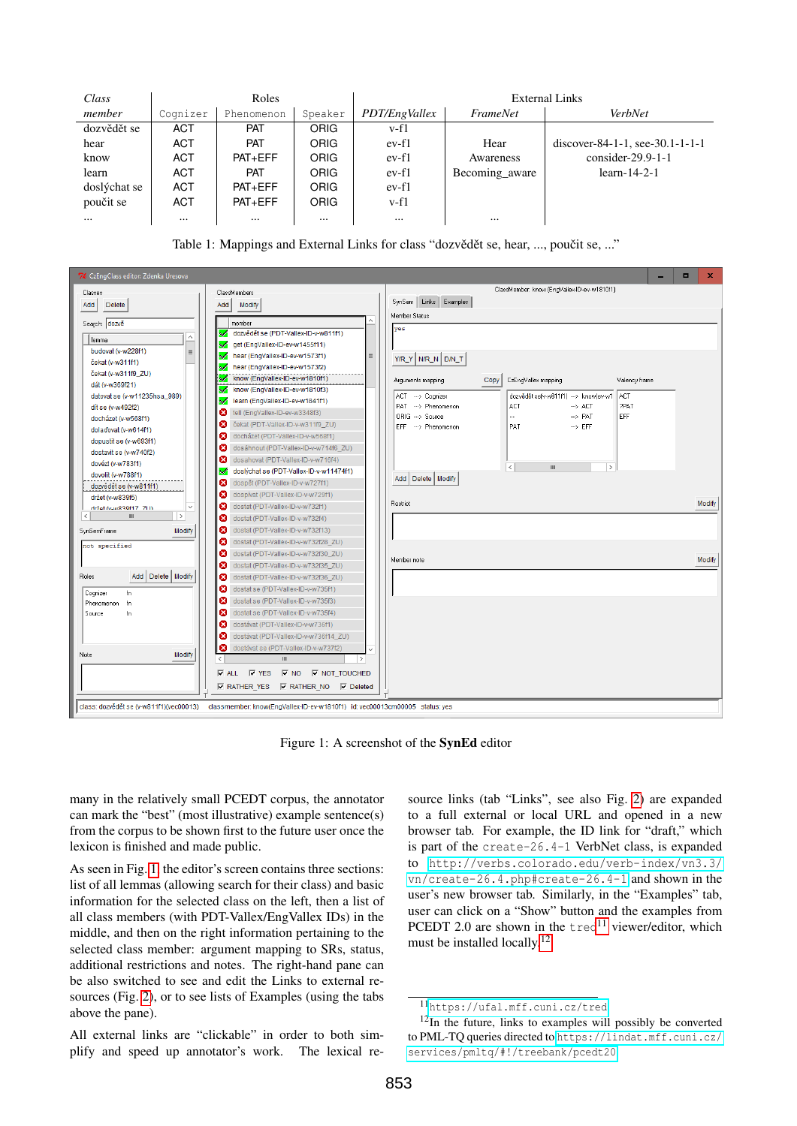| Class        | Roles      |             |             | <b>External Links</b> |                 |                                 |
|--------------|------------|-------------|-------------|-----------------------|-----------------|---------------------------------|
| member       | Cognizer   | Phenomenon  | Speaker     | PDT/EngVallex         | <i>FrameNet</i> | VerbNet                         |
| dozvědět se  | <b>ACT</b> | <b>PAT</b>  | <b>ORIG</b> | $v-f1$                |                 |                                 |
| hear         | ACT        | <b>PAT</b>  | ORIG        | ev-f1                 | Hear            | discover-84-1-1, see-30.1-1-1-1 |
| know         | <b>ACT</b> | PATH        | ORIG        | $ev-f1$               | Awareness       | consider- $29.9-1-1$            |
| learn        | ACT        | <b>PAT</b>  | ORIG        | $ev-f1$               | Becoming aware  | $learn-14-2-1$                  |
| doslýchat se | <b>ACT</b> | PAT+EFF     | ORIG        | $ev-f1$               |                 |                                 |
| poučit se    | <b>ACT</b> | $PAT + EFF$ | ORIG        | $v-f1$                |                 |                                 |
| $\cdots$     | $\cdots$   | $\cdots$    | $\cdots$    | $\cdots$              | $\cdots$        |                                 |

<span id="page-3-2"></span>Table 1: Mappings and External Links for class "dozvědět se, hear, ..., poučit se, ..."



<span id="page-3-0"></span>Figure 1: A screenshot of the SynEd editor

many in the relatively small PCEDT corpus, the annotator can mark the "best" (most illustrative) example sentence(s) from the corpus to be shown first to the future user once the lexicon is finished and made public.

As seen in Fig. [1,](#page-3-0) the editor's screen contains three sections: list of all lemmas (allowing search for their class) and basic information for the selected class on the left, then a list of all class members (with PDT-Vallex/EngVallex IDs) in the middle, and then on the right information pertaining to the selected class member: argument mapping to SRs, status, additional restrictions and notes. The right-hand pane can be also switched to see and edit the Links to external resources (Fig. [2\)](#page-4-0), or to see lists of Examples (using the tabs above the pane).

All external links are "clickable" in order to both simplify and speed up annotator's work. The lexical re-

source links (tab "Links", see also Fig. [2\)](#page-4-0) are expanded to a full external or local URL and opened in a new browser tab. For example, the ID link for "draft," which is part of the create-26.4-1 VerbNet class, is expanded to [http://verbs.colorado.edu/verb-index/vn3.3/](http://verbs.colorado.edu/verb-index/vn3.3/vn/create-26.4.php#create-26.4-1) [vn/create-26.4.php#create-26.4-1](http://verbs.colorado.edu/verb-index/vn3.3/vn/create-26.4.php#create-26.4-1) and shown in the user's new browser tab. Similarly, in the "Examples" tab, user can click on a "Show" button and the examples from PCEDT 2.0 are shown in the  $tred<sup>11</sup>$  $tred<sup>11</sup>$  $tred<sup>11</sup>$  viewer/editor, which must be installed locally.<sup>[12](#page-3-4)</sup>

<span id="page-3-4"></span><span id="page-3-3"></span><span id="page-3-1"></span><sup>11</sup><https://ufal.mff.cuni.cz/tred>

 $12$ In the future, links to examples will possibly be converted to PML-TQ queries directed to [https://lindat.mff.cuni.cz/](https://lindat.mff.cuni.cz/services/pmltq/#!/treebank/pcedt20) [services/pmltq/#!/treebank/pcedt20](https://lindat.mff.cuni.cz/services/pmltq/#!/treebank/pcedt20).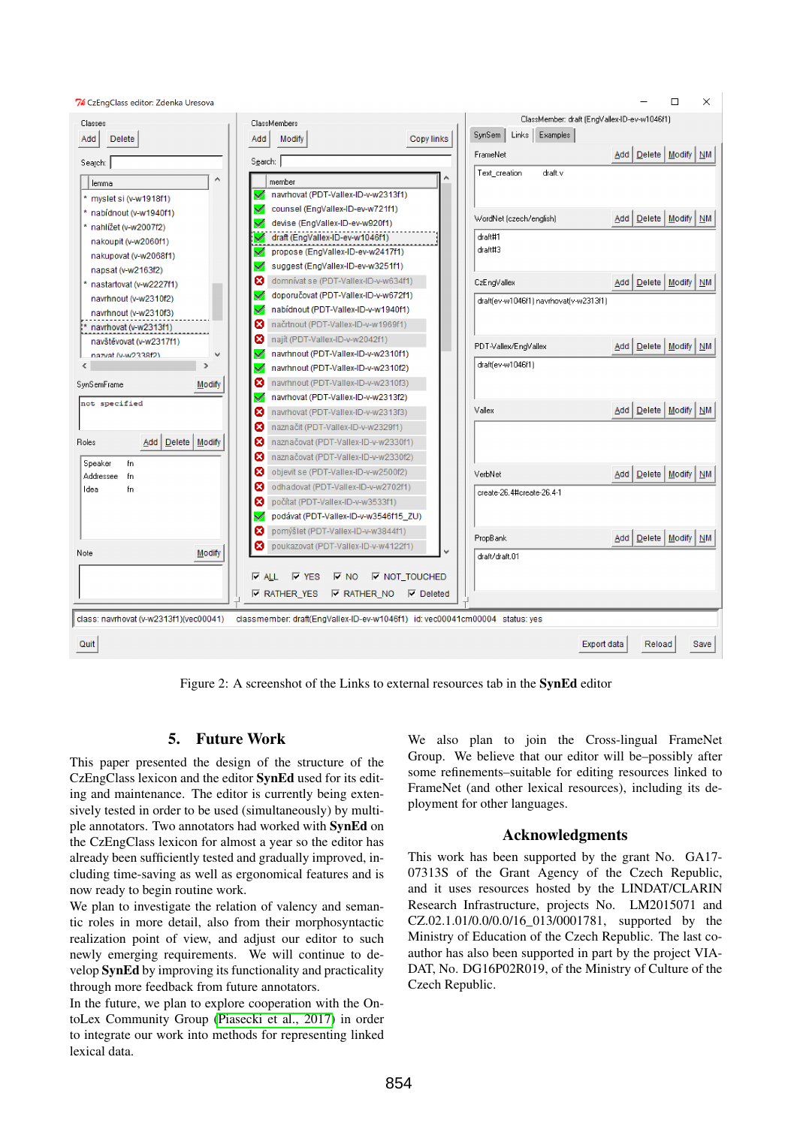

<span id="page-4-0"></span>Figure 2: A screenshot of the Links to external resources tab in the SynEd editor

# 5. Future Work

This paper presented the design of the structure of the CzEngClass lexicon and the editor SynEd used for its editing and maintenance. The editor is currently being extensively tested in order to be used (simultaneously) by multiple annotators. Two annotators had worked with SynEd on the CzEngClass lexicon for almost a year so the editor has already been sufficiently tested and gradually improved, including time-saving as well as ergonomical features and is now ready to begin routine work.

We plan to investigate the relation of valency and semantic roles in more detail, also from their morphosyntactic realization point of view, and adjust our editor to such newly emerging requirements. We will continue to develop SynEd by improving its functionality and practicality through more feedback from future annotators.

In the future, we plan to explore cooperation with the OntoLex Community Group [\(Piasecki et al., 2017\)](#page-5-27) in order to integrate our work into methods for representing linked lexical data.

We also plan to join the Cross-lingual FrameNet Group. We believe that our editor will be–possibly after some refinements–suitable for editing resources linked to FrameNet (and other lexical resources), including its deployment for other languages.

## Acknowledgments

This work has been supported by the grant No. GA17- 07313S of the Grant Agency of the Czech Republic, and it uses resources hosted by the LINDAT/CLARIN Research Infrastructure, projects No. LM2015071 and CZ.02.1.01/0.0/0.0/16\_013/0001781, supported by the Ministry of Education of the Czech Republic. The last coauthor has also been supported in part by the project VIA-DAT, No. DG16P02R019, of the Ministry of Culture of the Czech Republic.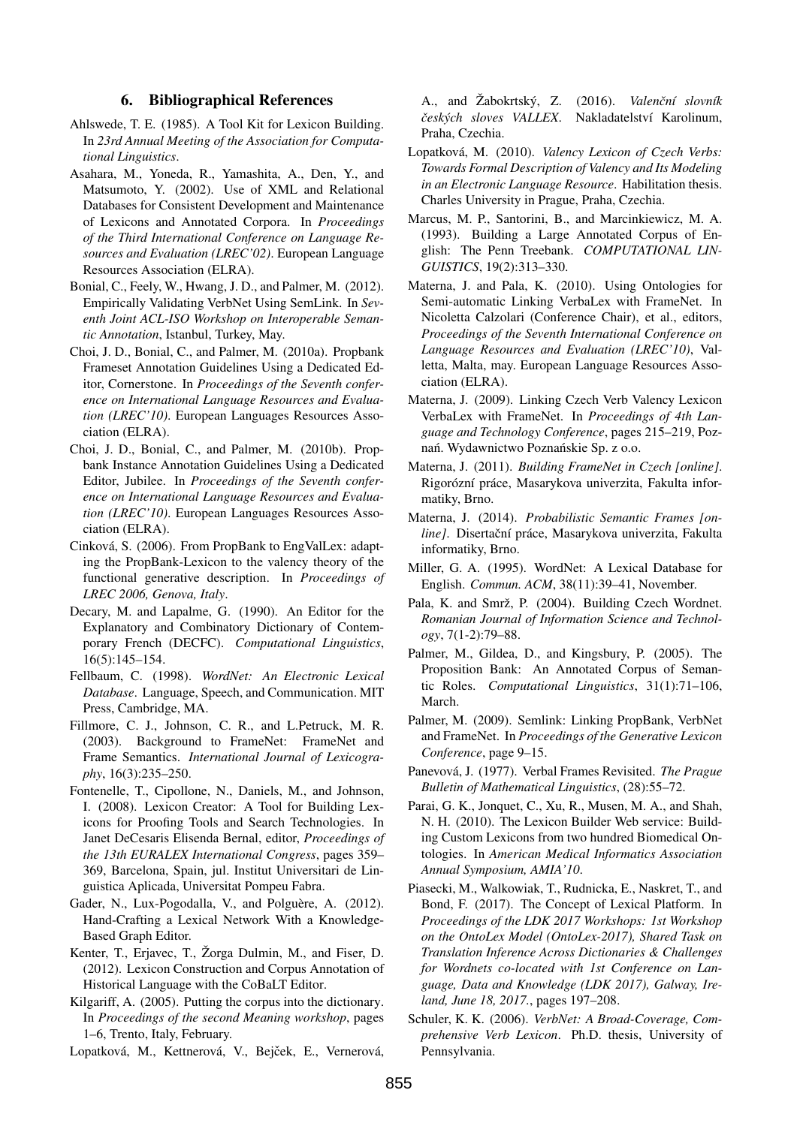### 6. Bibliographical References

- <span id="page-5-1"></span>Ahlswede, T. E. (1985). A Tool Kit for Lexicon Building. In *23rd Annual Meeting of the Association for Computational Linguistics*.
- <span id="page-5-7"></span>Asahara, M., Yoneda, R., Yamashita, A., Den, Y., and Matsumoto, Y. (2002). Use of XML and Relational Databases for Consistent Development and Maintenance of Lexicons and Annotated Corpora. In *Proceedings of the Third International Conference on Language Resources and Evaluation (LREC'02)*. European Language Resources Association (ELRA).
- <span id="page-5-19"></span>Bonial, C., Feely, W., Hwang, J. D., and Palmer, M. (2012). Empirically Validating VerbNet Using SemLink. In *Seventh Joint ACL-ISO Workshop on Interoperable Semantic Annotation*, Istanbul, Turkey, May.
- <span id="page-5-8"></span>Choi, J. D., Bonial, C., and Palmer, M. (2010a). Propbank Frameset Annotation Guidelines Using a Dedicated Editor, Cornerstone. In *Proceedings of the Seventh conference on International Language Resources and Evaluation (LREC'10)*. European Languages Resources Association (ELRA).
- <span id="page-5-14"></span>Choi, J. D., Bonial, C., and Palmer, M. (2010b). Propbank Instance Annotation Guidelines Using a Dedicated Editor, Jubilee. In *Proceedings of the Seventh conference on International Language Resources and Evaluation (LREC'10)*. European Languages Resources Association (ELRA).
- <span id="page-5-15"></span>Cinková, S. (2006). From PropBank to EngValLex: adapting the PropBank-Lexicon to the valency theory of the functional generative description. In *Proceedings of LREC 2006, Genova, Italy*.
- <span id="page-5-6"></span>Decary, M. and Lapalme, G. (1990). An Editor for the Explanatory and Combinatory Dictionary of Contemporary French (DECFC). *Computational Linguistics*, 16(5):145–154.
- <span id="page-5-23"></span>Fellbaum, C. (1998). *WordNet: An Electronic Lexical Database*. Language, Speech, and Communication. MIT Press, Cambridge, MA.
- <span id="page-5-16"></span>Fillmore, C. J., Johnson, C. R., and L.Petruck, M. R. (2003). Background to FrameNet: FrameNet and Frame Semantics. *International Journal of Lexicography*, 16(3):235–250.
- <span id="page-5-2"></span>Fontenelle, T., Cipollone, N., Daniels, M., and Johnson, I. (2008). Lexicon Creator: A Tool for Building Lexicons for Proofing Tools and Search Technologies. In Janet DeCesaris Elisenda Bernal, editor, *Proceedings of the 13th EURALEX International Congress*, pages 359– 369, Barcelona, Spain, jul. Institut Universitari de Linguistica Aplicada, Universitat Pompeu Fabra.
- <span id="page-5-5"></span>Gader, N., Lux-Pogodalla, V., and Polguère, A. (2012). Hand-Crafting a Lexical Network With a Knowledge-Based Graph Editor.
- <span id="page-5-4"></span>Kenter, T., Erjavec, T., Žorga Dulmin, M., and Fiser, D. (2012). Lexicon Construction and Corpus Annotation of Historical Language with the CoBaLT Editor.
- <span id="page-5-0"></span>Kilgariff, A. (2005). Putting the corpus into the dictionary. In *Proceedings of the second Meaning workshop*, pages 1–6, Trento, Italy, February.

<span id="page-5-26"></span>Lopatková, M., Kettnerová, V., Bejček, E., Vernerová,

A., and Žabokrtský, Z. (2016). *Valenční slovník ˇceských sloves VALLEX*. Nakladatelství Karolinum, Praha, Czechia.

- <span id="page-5-25"></span>Lopatková, M. (2010). *Valency Lexicon of Czech Verbs: Towards Formal Description of Valency and Its Modeling in an Electronic Language Resource*. Habilitation thesis. Charles University in Prague, Praha, Czechia.
- <span id="page-5-13"></span>Marcus, M. P., Santorini, B., and Marcinkiewicz, M. A. (1993). Building a Large Annotated Corpus of English: The Penn Treebank. *COMPUTATIONAL LIN-GUISTICS*, 19(2):313–330.
- <span id="page-5-10"></span>Materna, J. and Pala, K. (2010). Using Ontologies for Semi-automatic Linking VerbaLex with FrameNet. In Nicoletta Calzolari (Conference Chair), et al., editors, *Proceedings of the Seventh International Conference on Language Resources and Evaluation (LREC'10)*, Valletta, Malta, may. European Language Resources Association (ELRA).
- <span id="page-5-9"></span>Materna, J. (2009). Linking Czech Verb Valency Lexicon VerbaLex with FrameNet. In *Proceedings of 4th Language and Technology Conference*, pages 215–219, Poznań. Wydawnictwo Poznańskie Sp. z o.o.
- <span id="page-5-11"></span>Materna, J. (2011). *Building FrameNet in Czech [online]*. Rigorózní práce, Masarykova univerzita, Fakulta informatiky, Brno.
- <span id="page-5-12"></span>Materna, J. (2014). *Probabilistic Semantic Frames [on*line]. Disertační práce, Masarykova univerzita, Fakulta informatiky, Brno.
- <span id="page-5-22"></span>Miller, G. A. (1995). WordNet: A Lexical Database for English. *Commun. ACM*, 38(11):39–41, November.
- <span id="page-5-21"></span>Pala, K. and Smrž, P. (2004). Building Czech Wordnet. *Romanian Journal of Information Science and Technology*, 7(1-2):79–88.
- <span id="page-5-20"></span>Palmer, M., Gildea, D., and Kingsbury, P. (2005). The Proposition Bank: An Annotated Corpus of Semantic Roles. *Computational Linguistics*, 31(1):71–106, March.
- <span id="page-5-18"></span>Palmer, M. (2009). Semlink: Linking PropBank, VerbNet and FrameNet. In *Proceedings of the Generative Lexicon Conference*, page 9–15.
- <span id="page-5-24"></span>Panevová, J. (1977). Verbal Frames Revisited. *The Prague Bulletin of Mathematical Linguistics*, (28):55–72.
- <span id="page-5-3"></span>Parai, G. K., Jonquet, C., Xu, R., Musen, M. A., and Shah, N. H. (2010). The Lexicon Builder Web service: Building Custom Lexicons from two hundred Biomedical Ontologies. In *American Medical Informatics Association Annual Symposium, AMIA'10*.
- <span id="page-5-27"></span>Piasecki, M., Walkowiak, T., Rudnicka, E., Naskret, T., and Bond, F. (2017). The Concept of Lexical Platform. In *Proceedings of the LDK 2017 Workshops: 1st Workshop on the OntoLex Model (OntoLex-2017), Shared Task on Translation Inference Across Dictionaries & Challenges for Wordnets co-located with 1st Conference on Language, Data and Knowledge (LDK 2017), Galway, Ireland, June 18, 2017.*, pages 197–208.
- <span id="page-5-17"></span>Schuler, K. K. (2006). *VerbNet: A Broad-Coverage, Comprehensive Verb Lexicon*. Ph.D. thesis, University of Pennsylvania.